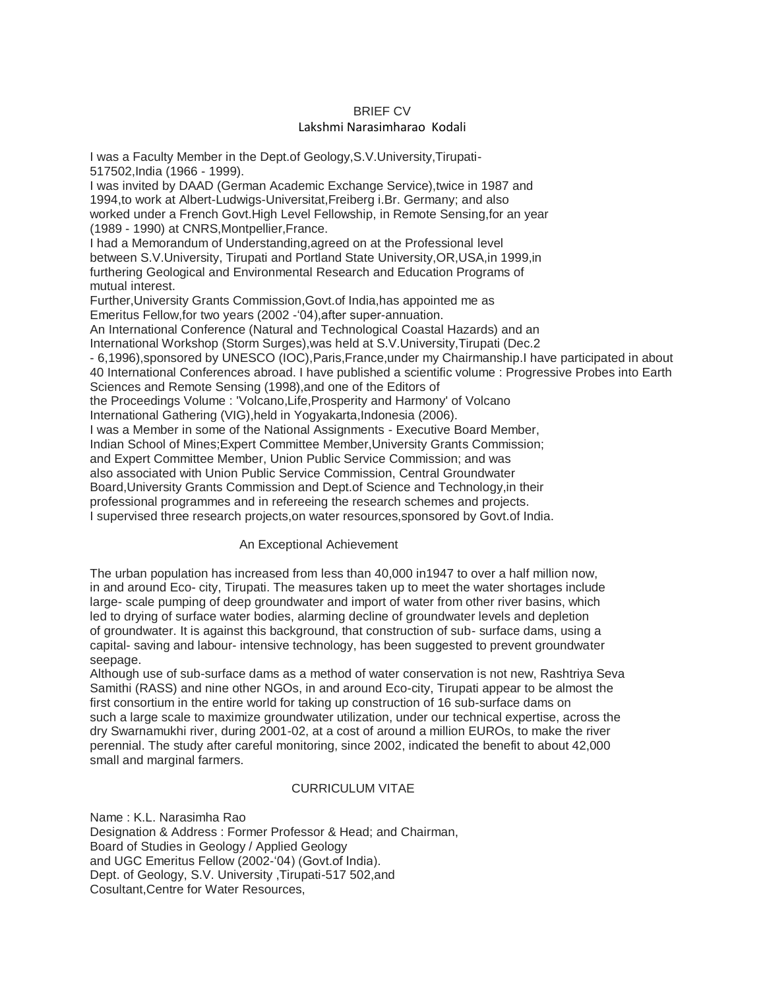## BRIEF CV

### Lakshmi Narasimharao Kodali

I was a Faculty Member in the Dept.of Geology,S.V.University,Tirupati-517502,India (1966 - 1999). I was invited by DAAD (German Academic Exchange Service),twice in 1987 and 1994,to work at Albert-Ludwigs-Universitat,Freiberg i.Br. Germany; and also worked under a French Govt.High Level Fellowship, in Remote Sensing,for an year (1989 - 1990) at CNRS,Montpellier,France. I had a Memorandum of Understanding,agreed on at the Professional level between S.V.University, Tirupati and Portland State University,OR,USA,in 1999,in furthering Geological and Environmental Research and Education Programs of mutual interest. Further,University Grants Commission,Govt.of India,has appointed me as Emeritus Fellow, for two years (2002 - '04), after super-annuation. An International Conference (Natural and Technological Coastal Hazards) and an International Workshop (Storm Surges),was held at S.V.University,Tirupati (Dec.2 - 6,1996),sponsored by UNESCO (IOC),Paris,France,under my Chairmanship.I have participated in about 40 International Conferences abroad. I have published a scientific volume : Progressive Probes into Earth Sciences and Remote Sensing (1998),and one of the Editors of the Proceedings Volume : 'Volcano,Life,Prosperity and Harmony' of Volcano International Gathering (VIG),held in Yogyakarta,Indonesia (2006). I was a Member in some of the National Assignments - Executive Board Member, Indian School of Mines;Expert Committee Member,University Grants Commission;

and Expert Committee Member, Union Public Service Commission; and was

also associated with Union Public Service Commission, Central Groundwater

Board,University Grants Commission and Dept.of Science and Technology,in their

professional programmes and in refereeing the research schemes and projects.

I supervised three research projects,on water resources,sponsored by Govt.of India.

## An Exceptional Achievement

The urban population has increased from less than 40,000 in1947 to over a half million now, in and around Eco- city, Tirupati. The measures taken up to meet the water shortages include large- scale pumping of deep groundwater and import of water from other river basins, which led to drying of surface water bodies, alarming decline of groundwater levels and depletion of groundwater. It is against this background, that construction of sub- surface dams, using a capital- saving and labour- intensive technology, has been suggested to prevent groundwater seepage.

Although use of sub-surface dams as a method of water conservation is not new, Rashtriya Seva Samithi (RASS) and nine other NGOs, in and around Eco-city, Tirupati appear to be almost the first consortium in the entire world for taking up construction of 16 sub-surface dams on such a large scale to maximize groundwater utilization, under our technical expertise, across the dry Swarnamukhi river, during 2001-02, at a cost of around a million EUROs, to make the river perennial. The study after careful monitoring, since 2002, indicated the benefit to about 42,000 small and marginal farmers.

## CURRICULUM VITAE

Name : K.L. Narasimha Rao Designation & Address : Former Professor & Head; and Chairman, Board of Studies in Geology / Applied Geology and UGC Emeritus Fellow (2002-"04) (Govt.of India). Dept. of Geology, S.V. University ,Tirupati-517 502,and Cosultant,Centre for Water Resources,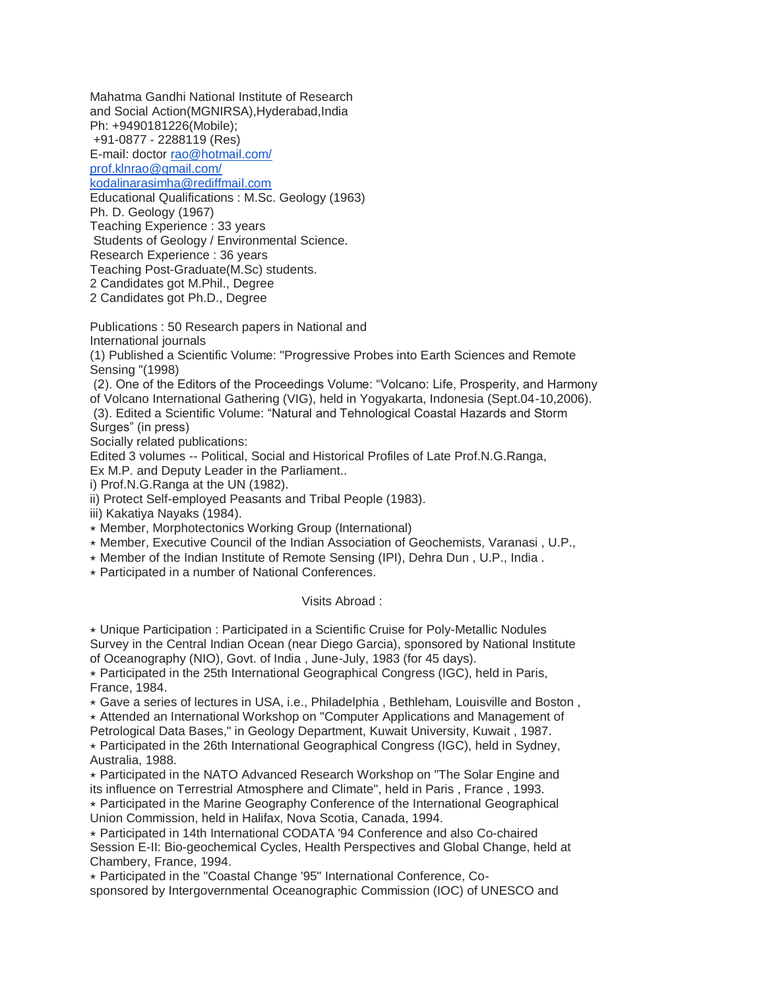Mahatma Gandhi National Institute of Research and Social Action(MGNIRSA),Hyderabad,India Ph: +9490181226(Mobile);

+91-0877 - 2288119 (Res)

E-mail: doctor [rao@hotmail.com/](mailto:rao@hotmail.com/)

[prof.klnrao@gmail.com/](mailto:prof.klnrao@gmail.com/)

[kodalinarasimha@rediffmail.com](mailto:kodalinarasimha@rediffmail.com)

Educational Qualifications : M.Sc. Geology (1963)

Ph. D. Geology (1967)

Teaching Experience : 33 years

Students of Geology / Environmental Science.

Research Experience : 36 years

Teaching Post-Graduate(M.Sc) students.

2 Candidates got M.Phil., Degree

2 Candidates got Ph.D., Degree

Publications : 50 Research papers in National and

International journals

(1) Published a Scientific Volume: "Progressive Probes into Earth Sciences and Remote Sensing "(1998)

(2). One of the Editors of the Proceedings Volume: "Volcano: Life, Prosperity, and Harmony of Volcano International Gathering (VIG), held in Yogyakarta, Indonesia (Sept.04-10,2006).

(3). Edited a Scientific Volume: "Natural and Tehnological Coastal Hazards and Storm Surges" (in press)

Socially related publications:

Edited 3 volumes -- Political, Social and Historical Profiles of Late Prof.N.G.Ranga,

Ex M.P. and Deputy Leader in the Parliament..

i) Prof.N.G.Ranga at the UN (1982).

ii) Protect Self-employed Peasants and Tribal People (1983).

iii) Kakatiya Nayaks (1984).

⋆ Member, Morphotectonics Working Group (International)

⋆ Member, Executive Council of the Indian Association of Geochemists, Varanasi , U.P.,

 $\star$  Member of the Indian Institute of Remote Sensing (IPI), Dehra Dun, U.P., India.

 $\star$  Participated in a number of National Conferences.

Visits Abroad :

 $\star$  Unique Participation : Participated in a Scientific Cruise for Poly-Metallic Nodules Survey in the Central Indian Ocean (near Diego Garcia), sponsored by National Institute of Oceanography (NIO), Govt. of India , June-July, 1983 (for 45 days).

 $\star$  Participated in the 25th International Geographical Congress (IGC), held in Paris, France, 1984.

⋆ Gave a series of lectures in USA, i.e., Philadelphia , Bethleham, Louisville and Boston ,

⋆ Attended an International Workshop on "Computer Applications and Management of Petrological Data Bases," in Geology Department, Kuwait University, Kuwait , 1987.  $\star$  Participated in the 26th International Geographical Congress (IGC), held in Sydney,

Australia, 1988.

⋆ Participated in the NATO Advanced Research Workshop on "The Solar Engine and its influence on Terrestrial Atmosphere and Climate", held in Paris , France , 1993.

⋆ Participated in the Marine Geography Conference of the International Geographical Union Commission, held in Halifax, Nova Scotia, Canada, 1994.

⋆ Participated in 14th International CODATA '94 Conference and also Co-chaired Session E-II: Bio-geochemical Cycles, Health Perspectives and Global Change, held at Chambery, France, 1994.

⋆ Participated in the "Coastal Change '95" International Conference, Cosponsored by Intergovernmental Oceanographic Commission (IOC) of UNESCO and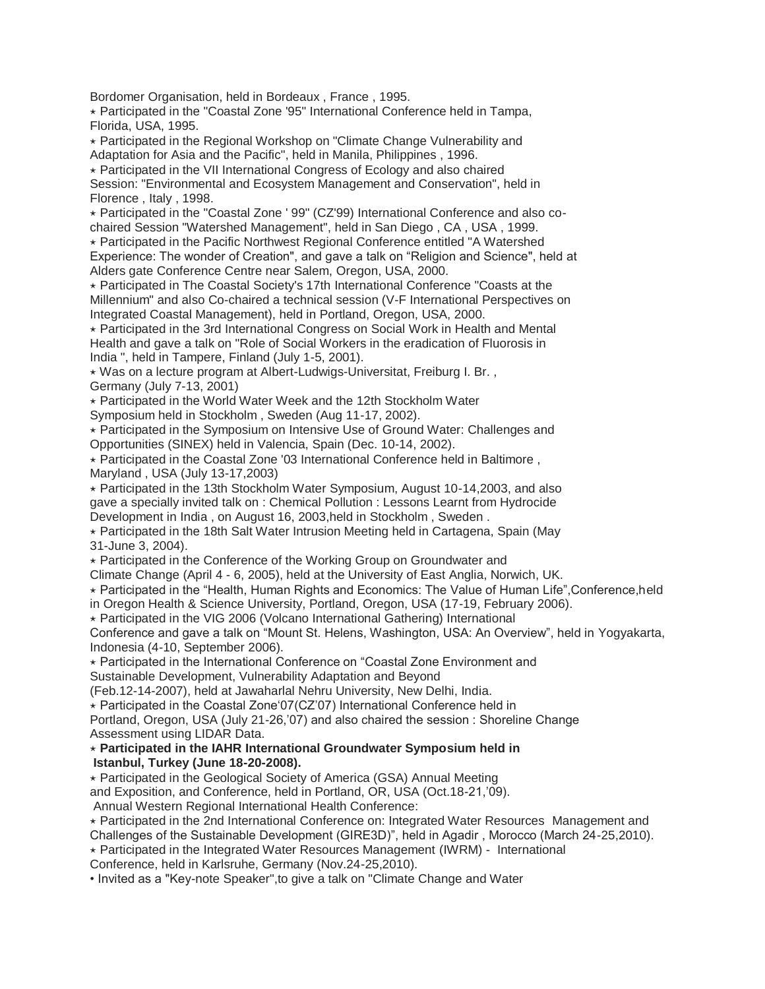Bordomer Organisation, held in Bordeaux , France , 1995.

 $\star$  Participated in the "Coastal Zone '95" International Conference held in Tampa, Florida, USA, 1995.

⋆ Participated in the Regional Workshop on "Climate Change Vulnerability and Adaptation for Asia and the Pacific", held in Manila, Philippines , 1996.

⋆ Participated in the VII International Congress of Ecology and also chaired Session: "Environmental and Ecosystem Management and Conservation", held in Florence , Italy , 1998.

⋆ Participated in the "Coastal Zone ' 99" (CZ'99) International Conference and also cochaired Session "Watershed Management", held in San Diego , CA , USA , 1999.

⋆ Participated in the Pacific Northwest Regional Conference entitled "A Watershed Experience: The wonder of Creation", and gave a talk on "Religion and Science", held at Alders gate Conference Centre near Salem, Oregon, USA, 2000.

⋆ Participated in The Coastal Society's 17th International Conference "Coasts at the Millennium" and also Co-chaired a technical session (V-F International Perspectives on Integrated Coastal Management), held in Portland, Oregon, USA, 2000.

⋆ Participated in the 3rd International Congress on Social Work in Health and Mental Health and gave a talk on "Role of Social Workers in the eradication of Fluorosis in India ", held in Tampere, Finland (July 1-5, 2001).

⋆ Was on a lecture program at Albert-Ludwigs-Universitat, Freiburg I. Br. , Germany (July 7-13, 2001)

⋆ Participated in the World Water Week and the 12th Stockholm Water

Symposium held in Stockholm , Sweden (Aug 11-17, 2002).

⋆ Participated in the Symposium on Intensive Use of Ground Water: Challenges and Opportunities (SINEX) held in Valencia, Spain (Dec. 10-14, 2002).

 $\star$  Participated in the Coastal Zone '03 International Conference held in Baltimore, Maryland , USA (July 13-17,2003)

⋆ Participated in the 13th Stockholm Water Symposium, August 10-14,2003, and also gave a specially invited talk on : Chemical Pollution : Lessons Learnt from Hydrocide Development in India , on August 16, 2003,held in Stockholm , Sweden .

 $\star$  Participated in the 18th Salt Water Intrusion Meeting held in Cartagena, Spain (May 31-June 3, 2004).

⋆ Participated in the Conference of the Working Group on Groundwater and

Climate Change (April 4 - 6, 2005), held at the University of East Anglia, Norwich, UK.

⋆ Participated in the "Health, Human Rights and Economics: The Value of Human Life",Conference,held

in Oregon Health & Science University, Portland, Oregon, USA (17-19, February 2006).

⋆ Participated in the VIG 2006 (Volcano International Gathering) International

Conference and gave a talk on "Mount St. Helens, Washington, USA: An Overview", held in Yogyakarta, Indonesia (4-10, September 2006).

⋆ Participated in the International Conference on "Coastal Zone Environment and Sustainable Development, Vulnerability Adaptation and Beyond

(Feb.12-14-2007), held at Jawaharlal Nehru University, New Delhi, India.

 $\star$  Participated in the Coastal Zone'07(CZ'07) International Conference held in

Portland, Oregon, USA (July 21-26, 07) and also chaired the session : Shoreline Change Assessment using LIDAR Data.

⋆ **Participated in the IAHR International Groundwater Symposium held in Istanbul, Turkey (June 18-20-2008).**

⋆ Participated in the Geological Society of America (GSA) Annual Meeting and Exposition, and Conference, held in Portland, OR, USA (Oct.18-21, '09). Annual Western Regional International Health Conference:

⋆ Participated in the 2nd International Conference on: Integrated Water Resources Management and Challenges of the Sustainable Development (GIRE3D)", held in Agadir , Morocco (March 24-25,2010).

⋆ Participated in the Integrated Water Resources Management (IWRM) - International

Conference, held in Karlsruhe, Germany (Nov.24-25,2010).

• Invited as a "Key-note Speaker",to give a talk on "Climate Change and Water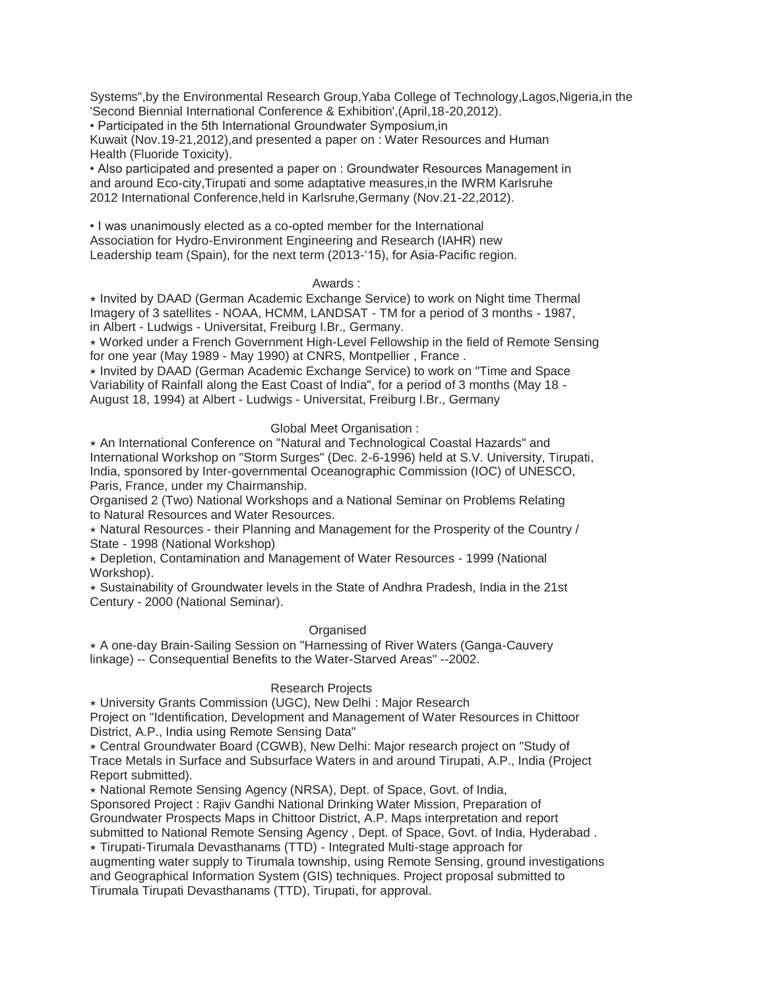Systems",by the Environmental Research Group,Yaba College of Technology,Lagos,Nigeria,in the 'Second Biennial International Conference & Exhibition',(April,18-20,2012).

• Participated in the 5th International Groundwater Symposium,in

Kuwait (Nov.19-21,2012),and presented a paper on : Water Resources and Human Health (Fluoride Toxicity).

• Also participated and presented a paper on : Groundwater Resources Management in and around Eco-city,Tirupati and some adaptative measures,in the IWRM Karlsruhe 2012 International Conference,held in Karlsruhe,Germany (Nov.21-22,2012).

• I was unanimously elected as a co-opted member for the International Association for Hydro-Environment Engineering and Research (IAHR) new Leadership team (Spain), for the next term (2013-'15), for Asia-Pacific region.

### Awards :

⋆ Invited by DAAD (German Academic Exchange Service) to work on Night time Thermal Imagery of 3 satellites - NOAA, HCMM, LANDSAT - TM for a period of 3 months - 1987, in Albert - Ludwigs - Universitat, Freiburg I.Br., Germany.

⋆ Worked under a French Government High-Level Fellowship in the field of Remote Sensing for one year (May 1989 - May 1990) at CNRS, Montpellier , France .

⋆ Invited by DAAD (German Academic Exchange Service) to work on "Time and Space Variability of Rainfall along the East Coast of India", for a period of 3 months (May 18 - August 18, 1994) at Albert - Ludwigs - Universitat, Freiburg I.Br., Germany

## Global Meet Organisation :

⋆ An International Conference on "Natural and Technological Coastal Hazards" and International Workshop on "Storm Surges" (Dec. 2-6-1996) held at S.V. University, Tirupati, India, sponsored by Inter-governmental Oceanographic Commission (IOC) of UNESCO, Paris, France, under my Chairmanship.

Organised 2 (Two) National Workshops and a National Seminar on Problems Relating to Natural Resources and Water Resources.

⋆ Natural Resources - their Planning and Management for the Prosperity of the Country / State - 1998 (National Workshop)

⋆ Depletion, Contamination and Management of Water Resources - 1999 (National Workshop).

 $\star$  Sustainability of Groundwater levels in the State of Andhra Pradesh, India in the 21st Century - 2000 (National Seminar).

## **Organised**

⋆ A one-day Brain-Sailing Session on "Harnessing of River Waters (Ganga-Cauvery linkage) -- Consequential Benefits to the Water-Starved Areas" --2002.

## Research Projects

⋆ University Grants Commission (UGC), New Delhi : Major Research

Project on "Identification, Development and Management of Water Resources in Chittoor District, A.P., India using Remote Sensing Data"

⋆ Central Groundwater Board (CGWB), New Delhi: Major research project on "Study of Trace Metals in Surface and Subsurface Waters in and around Tirupati, A.P., India (Project Report submitted).

⋆ National Remote Sensing Agency (NRSA), Dept. of Space, Govt. of India,

Sponsored Project : Rajiv Gandhi National Drinking Water Mission, Preparation of Groundwater Prospects Maps in Chittoor District, A.P. Maps interpretation and report

submitted to National Remote Sensing Agency , Dept. of Space, Govt. of India, Hyderabad .

⋆ Tirupati-Tirumala Devasthanams (TTD) - Integrated Multi-stage approach for

augmenting water supply to Tirumala township, using Remote Sensing, ground investigations and Geographical Information System (GIS) techniques. Project proposal submitted to Tirumala Tirupati Devasthanams (TTD), Tirupati, for approval.